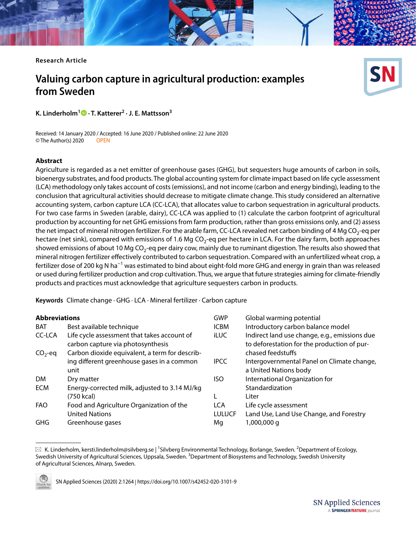**Research Article**

# **Valuing carbon capture in agricultural production: examples from Sweden**

**K. Linderholm1 · T. Katterer2 · J. E. Mattsson3**

Received: 14 January 2020 / Accepted: 16 June 2020 / Published online: 22 June 2020 © The Author(s) 2020 OPEN

#### **Abstract**

Agriculture is regarded as a net emitter of greenhouse gases (GHG), but sequesters huge amounts of carbon in soils, bioenergy substrates, and food products. The global accounting system for climate impact based on life cycle assessment (LCA) methodology only takes account of costs (emissions), and not income (carbon and energy binding), leading to the conclusion that agricultural activities should decrease to mitigate climate change. This study considered an alternative accounting system, carbon capture LCA (CC-LCA), that allocates value to carbon sequestration in agricultural products. For two case farms in Sweden (arable, dairy), CC-LCA was applied to (1) calculate the carbon footprint of agricultural production by accounting for net GHG emissions from farm production, rather than gross emissions only, and (2) assess the net impact of mineral nitrogen fertilizer. For the arable farm, CC-LCA revealed net carbon binding of 4 Mg CO<sub>2</sub>-eq per hectare (net sink), compared with emissions of 1.6 Mg CO<sub>2</sub>-eq per hectare in LCA. For the dairy farm, both approaches showed emissions of about 10 Mg  $CO<sub>2</sub>$ -eq per dairy cow, mainly due to ruminant digestion. The results also showed that mineral nitrogen fertilizer efectively contributed to carbon sequestration. Compared with an unfertilized wheat crop, a fertilizer dose of 200 kg N ha<sup>−1</sup> was estimated to bind about eight-fold more GHG and energy in grain than was released or used during fertilizer production and crop cultivation. Thus, we argue that future strategies aiming for climate-friendly products and practices must acknowledge that agriculture sequesters carbon in products.

**Keywords** Climate change · GHG · LCA · Mineral fertilizer · Carbon capture

#### **Abbreviations**

|               |                                                                                  |               | olopal warning potential                                                                     |
|---------------|----------------------------------------------------------------------------------|---------------|----------------------------------------------------------------------------------------------|
| <b>BAT</b>    | Best available technique                                                         | <b>ICBM</b>   | Introductory carbon balance model                                                            |
| <b>CC-LCA</b> | Life cycle assessment that takes account of<br>carbon capture via photosynthesis | <b>iLUC</b>   | Indirect land use change, e.g., emissions due<br>to deforestation for the production of pur- |
| $CO2$ -eq     | Carbon dioxide equivalent, a term for describ-                                   |               | chased feedstuffs                                                                            |
|               | ing different greenhouse gases in a common                                       | <b>IPCC</b>   | Intergovernmental Panel on Climate change,                                                   |
|               | unit                                                                             |               | a United Nations body                                                                        |
| <b>DM</b>     | Dry matter                                                                       | ISO           | International Organization for                                                               |
| <b>ECM</b>    | Energy-corrected milk, adjusted to 3.14 MJ/kg                                    |               | Standardization                                                                              |
|               | (750 kcal)                                                                       |               | Liter                                                                                        |
| <b>FAO</b>    | Food and Agriculture Organization of the                                         | <b>LCA</b>    | Life cycle assessment                                                                        |
|               | <b>United Nations</b>                                                            | <b>LULUCF</b> | Land Use, Land Use Change, and Forestry                                                      |
| GHG           | Greenhouse gases                                                                 | Mq            | 1,000,000 g                                                                                  |
|               |                                                                                  |               |                                                                                              |

GWP Global warming potential

 $\boxtimes\,$  K. Linderholm, kersti.linderholm@silvberg.se | <sup>1</sup>Silvberg Environmental Technology, Borlange, Sweden. <sup>2</sup>Department of Ecology, Swedish University of Agricultural Sciences, Uppsala, Sweden. <sup>3</sup>Department of Biosystems and Technology, Swedish University of Agricultural Sciences, Alnarp, Sweden.



SN Applied Sciences (2020) 2:1264 | https://doi.org/10.1007/s42452-020-3101-9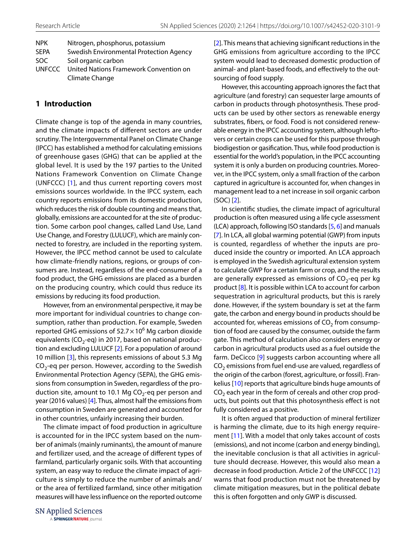| <b>NPK</b>    | Nitrogen, phosphorus, potassium         |
|---------------|-----------------------------------------|
| <b>SFPA</b>   | Swedish Environmental Protection Agency |
| SOC.          | Soil organic carbon                     |
| <b>UNFCCC</b> | United Nations Framework Convention on  |
|               | Climate Change                          |

## **1 Introduction**

Climate change is top of the agenda in many countries, and the climate impacts of diferent sectors are under scrutiny. The Intergovernmental Panel on Climate Change (IPCC) has established a method for calculating emissions of greenhouse gases (GHG) that can be applied at the global level. It is used by the 197 parties to the United Nations Framework Convention on Climate Change (UNFCCC) [[1](#page-9-0)], and thus current reporting covers most emissions sources worldwide. In the IPCC system, each country reports emissions from its domestic production, which reduces the risk of double counting and means that, globally, emissions are accounted for at the site of production. Some carbon pool changes, called Land Use, Land Use Change, and Forestry (LULUCF), which are mainly connected to forestry, are included in the reporting system. However, the IPCC method cannot be used to calculate how climate-friendly nations, regions, or groups of consumers are. Instead, regardless of the end-consumer of a food product, the GHG emissions are placed as a burden on the producing country, which could thus reduce its emissions by reducing its food production.

However, from an environmental perspective, it may be more important for individual countries to change consumption, rather than production. For example, Sweden reported GHG emissions of  $52.7 \times 10^6$  Mg carbon dioxide equivalents ( $CO<sub>2</sub>$ -eq) in 2017, based on national production and excluding LULUCF [\[2](#page-9-1)]. For a population of around 10 million [[3](#page-9-2)], this represents emissions of about 5.3 Mg  $CO<sub>2</sub>$ -eq per person. However, according to the Swedish Environmental Protection Agency (SEPA), the GHG emissions from consumption in Sweden, regardless of the production site, amount to 10.1 Mg  $CO<sub>2</sub>$ -eq per person and year (2016 values) [\[4](#page-9-3)]. Thus, almost half the emissions from consumption in Sweden are generated and accounted for in other countries, unfairly increasing their burden.

The climate impact of food production in agriculture is accounted for in the IPCC system based on the number of animals (mainly ruminants), the amount of manure and fertilizer used, and the acreage of diferent types of farmland, particularly organic soils. With that accounting system, an easy way to reduce the climate impact of agriculture is simply to reduce the number of animals and/ or the area of fertilized farmland, since other mitigation measures will have less infuence on the reported outcome

**SN Applied Sciences** A SPRINGER NATURE journal [[2](#page-9-1)]. This means that achieving signifcant reductions in the GHG emissions from agriculture according to the IPCC system would lead to decreased domestic production of animal- and plant-based foods, and efectively to the outsourcing of food supply.

However, this accounting approach ignores the fact that agriculture (and forestry) can sequester large amounts of carbon in products through photosynthesis. These products can be used by other sectors as renewable energy substrates, fbers, or food. Food is not considered renewable energy in the IPCC accounting system, although leftovers or certain crops can be used for this purpose through biodigestion or gasifcation. Thus, while food production is essential for the world's population, in the IPCC accounting system it is only a burden on producing countries. Moreover, in the IPCC system, only a small fraction of the carbon captured in agriculture is accounted for, when changes in management lead to a net increase in soil organic carbon (SOC) [[2\]](#page-9-1).

In scientifc studies, the climate impact of agricultural production is often measured using a life cycle assessment (LCA) approach, following ISO standards [\[5](#page-9-4), [6](#page-9-5)] and manuals [[7](#page-9-6)]. In LCA, all global warming potential (GWP) from inputs is counted, regardless of whether the inputs are produced inside the country or imported. An LCA approach is employed in the Swedish agricultural extension system to calculate GWP for a certain farm or crop, and the results are generally expressed as emissions of  $CO<sub>2</sub>$ -eq per kg product [\[8](#page-9-7)]. It is possible within LCA to account for carbon sequestration in agricultural products, but this is rarely done. However, if the system boundary is set at the farm gate, the carbon and energy bound in products should be accounted for, whereas emissions of  $CO<sub>2</sub>$  from consumption of food are caused by the consumer, outside the farm gate. This method of calculation also considers energy or carbon in agricultural products used as a fuel outside the farm. DeCicco [\[9](#page-9-8)] suggests carbon accounting where all  $CO<sub>2</sub>$  emissions from fuel end-use are valued, regardless of the origin of the carbon (forest, agriculture, or fossil). Frankelius [[10](#page-9-9)] reports that agriculture binds huge amounts of  $CO<sub>2</sub>$  each year in the form of cereals and other crop products, but points out that this photosynthesis efect is not fully considered as a positive.

It is often argued that production of mineral fertilizer is harming the climate, due to its high energy requirement [[11](#page-9-10)]. With a model that only takes account of costs (emissions), and not income (carbon and energy binding), the inevitable conclusion is that all activities in agriculture should decrease. However, this would also mean a decrease in food production. Article 2 of the UNFCCC [[12](#page-9-11)] warns that food production must not be threatened by climate mitigation measures, but in the political debate this is often forgotten and only GWP is discussed.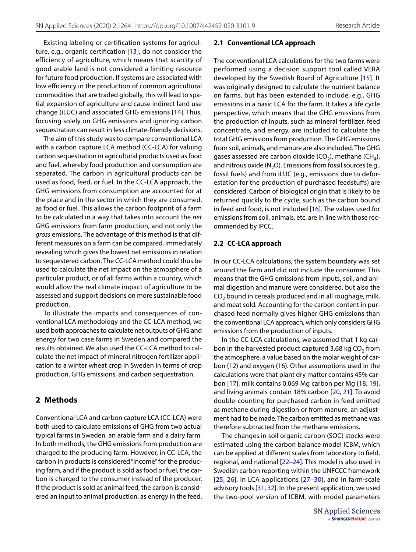Existing labeling or certifcation systems for agriculture, e.g., organic certifcation [[13\]](#page-9-12), do not consider the efficiency of agriculture, which means that scarcity of good arable land is not considered a limiting resource for future food production. If systems are associated with low efficiency in the production of common agricultural commodities that are traded globally, this will lead to spatial expansion of agriculture and cause indirect land use change (iLUC) and associated GHG emissions [[14\]](#page-9-13). Thus, focusing solely on GHG emissions and ignoring carbon sequestration can result in less climate-friendly decisions.

The aim of this study was to compare conventional LCA with a carbon capture LCA method (CC-LCA) for valuing carbon sequestration in agricultural products used as food and fuel, whereby food production and consumption are separated. The carbon in agricultural products can be used as food, feed, or fuel. In the CC-LCA approach, the GHG emissions from consumption are accounted for at the place and in the sector in which they are consumed, as food or fuel. This allows the carbon footprint of a farm to be calculated in a way that takes into account the *net* GHG emissions from farm production, and not only the *gross* emissions. The advantage of this method is that different measures on a farm can be compared, immediately revealing which gives the lowest net emissions in relation to sequestered carbon. The CC-LCA method could thus be used to calculate the net impact on the atmosphere of a particular product, or of all farms within a country, which would allow the real climate impact of agriculture to be assessed and support decisions on more sustainable food production.

To illustrate the impacts and consequences of conventional LCA methodology and the CC-LCA method, we used both approaches to calculate net outputs of GHG and energy for two case farms in Sweden and compared the results obtained. We also used the CC-LCA method to calculate the net impact of mineral nitrogen fertilizer application to a winter wheat crop in Sweden in terms of crop production, GHG emissions, and carbon sequestration.

## **2 Methods**

Conventional LCA and carbon capture LCA (CC-LCA) were both used to calculate emissions of GHG from two actual typical farms in Sweden, an arable farm and a dairy farm. In both methods, the GHG emissions from production are charged to the producing farm. However, in CC-LCA, the carbon in products is considered "income" for the producing farm, and if the product is sold as food or fuel, the carbon is charged to the consumer instead of the producer. If the product is sold as animal feed, the carbon is considered an input to animal production, as energy in the feed.

#### **2.1 Conventional LCA approach**

The conventional LCA calculations for the two farms were performed using a decision support tool called VERA developed by the Swedish Board of Agriculture [\[15\]](#page-9-14). It was originally designed to calculate the nutrient balance on farms, but has been extended to include, e.g., GHG emissions in a basic LCA for the farm. It takes a life cycle perspective, which means that the GHG emissions from the production of inputs, such as mineral fertilizer, feed concentrate, and energy, are included to calculate the total GHG emissions from production. The GHG emissions from soil, animals, and manure are also included. The GHG gases assessed are carbon dioxide (CO<sub>2</sub>), methane (CH<sub>4</sub>), and nitrous oxide ( $N_2$ O). Emissions from fossil sources (e.g., fossil fuels) and from iLUC (e.g., emissions due to deforestation for the production of purchased feedstufs) are considered. Carbon of biological origin that is likely to be returned quickly to the cycle, such as the carbon bound in feed and food, is not included [\[16\]](#page-9-15). The values used for emissions from soil, animals, etc. are in line with those recommended by IPCC.

#### **2.2 CC‑LCA approach**

In our CC-LCA calculations, the system boundary was set around the farm and did not include the consumer. This means that the GHG emissions from inputs, soil, and animal digestion and manure were considered, but also the  $CO<sub>2</sub>$  bound in cereals produced and in all roughage, milk, and meat sold. Accounting for the carbon content in purchased feed normally gives higher GHG emissions than the conventional LCA approach, which only considers GHG emissions from the production of inputs.

In the CC-LCA calculations, we assumed that 1 kg carbon in the harvested product captured 3.68 kg  $CO<sub>2</sub>$  from the atmosphere, a value based on the molar weight of carbon (12) and oxygen (16). Other assumptions used in the calculations were that plant dry matter contains 45% carbon [\[17\]](#page-9-16), milk contains 0.069 Mg carbon per Mg [[18](#page-9-17), [19](#page-9-18)], and living animals contain 18% carbon [\[20,](#page-9-19) [21\]](#page-9-20). To avoid double-counting for purchased carbon in feed emitted as methane during digestion or from manure, an adjustment had to be made. The carbon emitted as methane was therefore subtracted from the methane emissions.

The changes in soil organic carbon (SOC) stocks were estimated using the carbon balance model ICBM, which can be applied at diferent scales from laboratory to feld, regional, and national [[22](#page-10-0)[–24\]](#page-10-1). This model is also used in Swedish carbon reporting within the UNFCCC framework [[25,](#page-10-2) [26\]](#page-10-3), in LCA applications [[27–](#page-10-4)[30](#page-10-5)], and in farm-scale advisory tools [[31,](#page-10-6) [32](#page-10-7)]. In the present application, we used the two-pool version of ICBM, with model parameters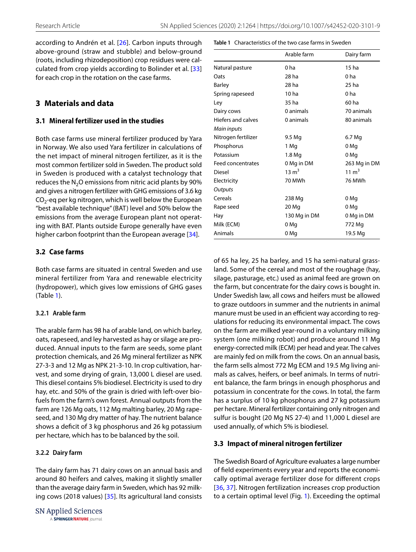<span id="page-3-0"></span>**Table 1** Characteristics of the two case farms in Sweden

according to Andrén et al. [[26](#page-10-3)]. Carbon inputs through above-ground (straw and stubble) and below-ground (roots, including rhizodeposition) crop residues were calculated from crop yields according to Bolinder et al. [[33](#page-10-8)] for each crop in the rotation on the case farms.

# **3 Materials and data**

## **3.1 Mineral fertilizer used in the studies**

Both case farms use mineral fertilizer produced by Yara in Norway. We also used Yara fertilizer in calculations of the net impact of mineral nitrogen fertilizer, as it is the most common fertilizer sold in Sweden. The product sold in Sweden is produced with a catalyst technology that reduces the  $N_2O$  emissions from nitric acid plants by 90% and gives a nitrogen fertilizer with GHG emissions of 3.6 kg  $CO<sub>2</sub>$ -eq per kg nitrogen, which is well below the European "best available technique" (BAT) level and 50% below the emissions from the average European plant not operating with BAT. Plants outside Europe generally have even higher carbon footprint than the European average [\[34\]](#page-10-9).

## **3.2 Case farms**

Both case farms are situated in central Sweden and use mineral fertilizer from Yara and renewable electricity (hydropower), which gives low emissions of GHG gases (Table [1](#page-3-0)).

## **3.2.1 Arable farm**

The arable farm has 98 ha of arable land, on which barley, oats, rapeseed, and ley harvested as hay or silage are produced. Annual inputs to the farm are seeds, some plant protection chemicals, and 26 Mg mineral fertilizer as NPK 27-3-3 and 12 Mg as NPK 21-3-10. In crop cultivation, harvest, and some drying of grain, 13,000 L diesel are used. This diesel contains 5% biodiesel. Electricity is used to dry hay, etc. and 50% of the grain is dried with left-over biofuels from the farm's own forest. Annual outputs from the farm are 126 Mg oats, 112 Mg malting barley, 20 Mg rapeseed, and 130 Mg dry matter of hay. The nutrient balance shows a defcit of 3 kg phosphorus and 26 kg potassium per hectare, which has to be balanced by the soil.

## **3.2.2 Dairy farm**

The dairy farm has 71 dairy cows on an annual basis and around 80 heifers and calves, making it slightly smaller than the average dairy farm in Sweden, which has 92 milking cows (2018 values) [[35](#page-10-10)]. Its agricultural land consists

**SN Applied Sciences** A SPRINGER NATURE journal

|                          | Arable farm      | Dairy farm       |
|--------------------------|------------------|------------------|
| Natural pasture          | 0 <sub>ha</sub>  | 15 <sub>ha</sub> |
| Oats                     | 28 ha            | 0 <sub>ha</sub>  |
| <b>Barley</b>            | 28 ha            | 25 ha            |
| Spring rapeseed          | 10 <sub>ha</sub> | 0 <sub>ha</sub>  |
| Ley                      | 35 ha            | 60 ha            |
| Dairy cows               | 0 animals        | 70 animals       |
| Hiefers and calves       | 0 animals        | 80 animals       |
| Main inputs              |                  |                  |
| Nitrogen fertilizer      | 9.5 Mg           | 6.7 Mg           |
| Phosphorus               | 1 Mg             | 0 Mg             |
| Potassium                | 1.8 Mg           | 0 Mg             |
| <b>Feed concentrates</b> | 0 Mg in DM       | 263 Mg in DM     |
| <b>Diesel</b>            | $13 \text{ m}^3$ | $11 \text{ m}^3$ |
| Electricity              | 70 MWh           | 76 MWh           |
| Outputs                  |                  |                  |
| Cereals                  | 238 Mg           | 0 Mg             |
| Rape seed                | 20 Mg            | 0 Mg             |
| Hay                      | 130 Mg in DM     | 0 Mg in DM       |
| Milk (ECM)               | 0 Mg             | 772 Mg           |
| Animals                  | 0 Mg             | 19.5 Mg          |

of 65 ha ley, 25 ha barley, and 15 ha semi-natural grassland. Some of the cereal and most of the roughage (hay, silage, pasturage, etc.) used as animal feed are grown on the farm, but concentrate for the dairy cows is bought in. Under Swedish law, all cows and heifers must be allowed to graze outdoors in summer and the nutrients in animal manure must be used in an efficient way according to regulations for reducing its environmental impact. The cows on the farm are milked year-round in a voluntary milking system (one milking robot) and produce around 11 Mg energy-corrected milk (ECM) per head and year. The calves are mainly fed on milk from the cows. On an annual basis, the farm sells almost 772 Mg ECM and 19.5 Mg living animals as calves, heifers, or beef animals. In terms of nutrient balance, the farm brings in enough phosphorus and potassium in concentrate for the cows. In total, the farm has a surplus of 10 kg phosphorus and 27 kg potassium per hectare. Mineral fertilizer containing only nitrogen and sulfur is bought (20 Mg NS 27-4) and 11,000 L diesel are used annually, of which 5% is biodiesel.

## **3.3 Impact of mineral nitrogen fertilizer**

The Swedish Board of Agriculture evaluates a large number of feld experiments every year and reports the economically optimal average fertilizer dose for diferent crops [[36,](#page-10-11) [37\]](#page-10-12). Nitrogen fertilization increases crop production to a certain optimal level (Fig. [1\)](#page-4-0). Exceeding the optimal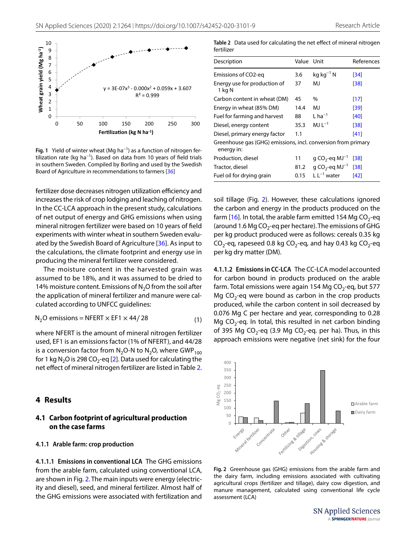

<span id="page-4-0"></span>**Fig. 1** Yield of winter wheat (Mg ha−1) as a function of nitrogen fertilization rate (kg ha<sup>-1</sup>). Based on data from 10 years of field trials in southern Sweden. Compiled by Borling and used by the Swedish Board of Agriculture in recommendations to farmers [[36](#page-10-11)]

fertilizer dose decreases nitrogen utilization efficiency and increases the risk of crop lodging and leaching of nitrogen. In the CC-LCA approach in the present study, calculations of net output of energy and GHG emissions when using mineral nitrogen fertilizer were based on 10 years of feld experiments with winter wheat in southern Sweden evalu-ated by the Swedish Board of Agriculture [\[36\]](#page-10-11). As input to the calculations, the climate footprint and energy use in producing the mineral fertilizer were considered.

The moisture content in the harvested grain was assumed to be 18%, and it was assumed to be dried to 14% moisture content. Emissions of  $N<sub>2</sub>O$  from the soil after the application of mineral fertilizer and manure were calculated according to UNFCC guidelines:

$$
N_2O \text{ emissions} = \text{NFERT} \times \text{EF1} \times 44 / 28 \tag{1}
$$

where NFERT is the amount of mineral nitrogen fertilizer used, EF1 is an emissions factor (1% of NFERT), and 44/28 is a conversion factor from  $N_2O-N$  to  $N_2O$ , where GWP<sub>100</sub> for 1 kg N<sub>2</sub>O is 298 CO<sub>2</sub>-eq [\[2](#page-9-1)]. Data used for calculating the net effect of mineral nitrogen fertilizer are listed in Table [2](#page-4-1).

#### **4 Results**

#### **4.1 Carbon footprint of agricultural production on the case farms**

#### **4.1.1 Arable farm: crop production**

**4.1.1.1 Emissions in conventional LCA** The GHG emissions from the arable farm, calculated using conventional LCA, are shown in Fig. [2](#page-4-2). The main inputs were energy (electricity and diesel), seed, and mineral fertilizer. Almost half of the GHG emissions were associated with fertilization and

<span id="page-4-1"></span>**Table 2** Data used for calculating the net efect of mineral nitrogen fertilizer

| Description                                                                 | Value Unit |                                        | References |
|-----------------------------------------------------------------------------|------------|----------------------------------------|------------|
| Emissions of CO2-eg                                                         | 3.6        | $kq$ $kq^{-1}$ N                       | [34]       |
| Energy use for production of<br>1 kg N                                      | 37         | MJ                                     | [38]       |
| Carbon content in wheat (DM)                                                | 45         | %                                      | [17]       |
| Energy in wheat (85% DM)                                                    | 14.4       | MJ                                     | [39]       |
| Fuel for farming and harvest                                                | 88         | $L$ ha <sup>-1</sup>                   | [40]       |
| Diesel, energy content                                                      | 35.3       | MJ L $^{-1}$                           | [38]       |
| Diesel, primary energy factor                                               | 1.1        |                                        | [41]       |
| Greenhouse gas (GHG) emissions, incl. conversion from primary<br>energy in: |            |                                        |            |
| Production, diesel                                                          | 11         | g CO <sub>2</sub> -eq MJ <sup>-1</sup> | [38]       |
| Tractor, diesel                                                             | 81.2       | g CO <sub>2</sub> -eq MJ <sup>-1</sup> | [38]       |
| Fuel oil for drying grain                                                   | 0.15       | $L L^{-1}$ water                       | [42]       |
|                                                                             |            |                                        |            |

soil tillage (Fig. [2](#page-4-2)). However, these calculations ignored the carbon and energy in the products produced on the farm [\[16\]](#page-9-15). In total, the arable farm emitted 154 Mg  $CO_2$ -eq (around 1.6 Mg  $CO<sub>2</sub>$ -eq per hectare). The emissions of GHG per kg product produced were as follows: cereals 0.35 kg  $CO_2$ -eq, rapeseed 0.8 kg  $CO_2$ -eq, and hay 0.43 kg  $CO_2$ -eq per kg dry matter (DM).

**4.1.1.2 Emissions in CC‑LCA** The CC-LCA model accounted for carbon bound in products produced on the arable farm. Total emissions were again 154 Mg  $CO<sub>2</sub>$ -eq, but 577 Mg  $CO<sub>2</sub>$ -eq were bound as carbon in the crop products produced, while the carbon content in soil decreased by 0.076 Mg C per hectare and year, corresponding to 0.28 Mg CO<sub>2</sub>-eq. In total, this resulted in net carbon binding of 395 Mg CO<sub>2</sub>-eq (3.9 Mg CO<sub>2</sub>-eq. per ha). Thus, in this approach emissions were negative (net sink) for the four

<span id="page-4-3"></span>

<span id="page-4-2"></span>**Fig. 2** Greenhouse gas (GHG) emissions from the arable farm and the dairy farm, including emissions associated with cultivating agricultural crops (fertilizer and tillage), dairy cow digestion, and manure management, calculated using conventional life cycle assessment (LCA)

**SN Applied Sciences** A SPRINGER NATURE journal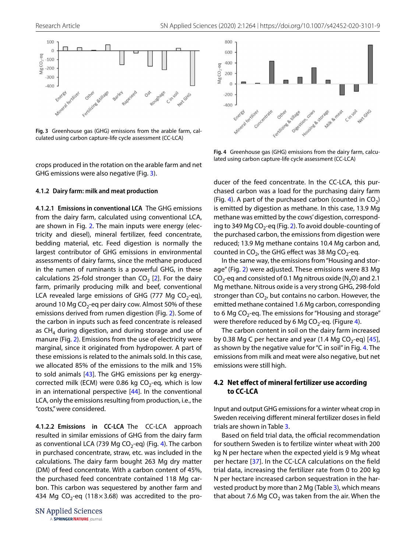

<span id="page-5-0"></span>**Fig. 3** Greenhouse gas (GHG) emissions from the arable farm, calculated using carbon capture-life cycle assessment (CC-LCA)

crops produced in the rotation on the arable farm and net GHG emissions were also negative (Fig. [3\)](#page-5-0).

#### **4.1.2 Dairy farm: milk and meat production**

**4.1.2.1 Emissions in conventional LCA** The GHG emissions from the dairy farm, calculated using conventional LCA, are shown in Fig. [2.](#page-4-2) The main inputs were energy (electricity and diesel), mineral fertilizer, feed concentrate, bedding material, etc. Feed digestion is normally the largest contributor of GHG emissions in environmental assessments of dairy farms, since the methane produced in the rumen of ruminants is a powerful GHG, in these calculations 25-fold stronger than  $CO<sub>2</sub>$  [[2\]](#page-9-1). For the dairy farm, primarily producing milk and beef, conventional LCA revealed large emissions of GHG (777 Mg  $CO<sub>2</sub>$ -eq), around 10 Mg  $CO<sub>2</sub>$ -eq per dairy cow. Almost 50% of these emissions derived from rumen digestion (Fig. [2](#page-4-2)). Some of the carbon in inputs such as feed concentrate is released as  $CH<sub>4</sub>$  during digestion, and during storage and use of manure (Fig. [2](#page-4-2)). Emissions from the use of electricity were marginal, since it originated from hydropower. A part of these emissions is related to the animals sold. In this case, we allocated 85% of the emissions to the milk and 15% to sold animals [\[43](#page-10-18)]. The GHG emissions per kg energycorrected milk (ECM) were 0.86 kg  $CO<sub>2</sub>$ -eq, which is low in an international perspective [[44\]](#page-10-19). In the conventional LCA, only the emissions resulting from production, i.e., the "costs," were considered.

**4.1.2.2 Emissions in CC‑LCA** The CC-LCA approach resulted in similar emissions of GHG from the dairy farm as conventional LCA (739 Mg CO<sub>2</sub>-eq) (Fig. [4\)](#page-5-1). The carbon in purchased concentrate, straw, etc. was included in the calculations. The dairy farm bought 263 Mg dry matter (DM) of feed concentrate. With a carbon content of 45%, the purchased feed concentrate contained 118 Mg carbon. This carbon was sequestered by another farm and 434 Mg CO<sub>2</sub>-eq (118 $\times$ 3.68) was accredited to the pro-



<span id="page-5-1"></span>**Fig. 4** Greenhouse gas (GHG) emissions from the dairy farm, calculated using carbon capture-life cycle assessment (CC-LCA)

ducer of the feed concentrate. In the CC-LCA, this purchased carbon was a load for the purchasing dairy farm (Fig. [4](#page-5-1)). A part of the purchased carbon (counted in  $CO<sub>2</sub>$ ) is emitted by digestion as methane. In this case, 13.9 Mg methane was emitted by the cows' digestion, correspond-ing to 349 Mg CO<sub>2</sub>-eq (Fig. [2\)](#page-4-2). To avoid double-counting of the purchased carbon, the emissions from digestion were reduced; 13.9 Mg methane contains 10.4 Mg carbon and, counted in  $CO<sub>2</sub>$ , the GHG effect was 38 Mg  $CO<sub>2</sub>$ -eq.

In the same way, the emissions from "Housing and storage" (Fig. [2](#page-4-2)) were adjusted. These emissions were 83 Mg  $CO<sub>2</sub>$ -eq and consisted of 0.1 Mg nitrous oxide (N<sub>2</sub>O) and 2.1 Mg methane. Nitrous oxide is a very strong GHG, 298-fold stronger than  $CO<sub>2</sub>$ , but contains no carbon. However, the emitted methane contained 1.6 Mg carbon, corresponding to 6 Mg CO<sub>2</sub>-eq. The emissions for "Housing and storage" were therefore reduced by 6 Mg CO<sub>2</sub>-eq. (Figure [4\)](#page-5-1).

The carbon content in soil on the dairy farm increased by 0.38 Mg C per hectare and year (1.4 Mg  $CO<sub>2</sub>$ -eq) [[45](#page-10-20)], as shown by the negative value for "C in soil" in Fig. [4.](#page-5-1) The emissions from milk and meat were also negative, but net emissions were still high.

#### **4.2 Net efect of mineral fertilizer use according to CC‑LCA**

Input and output GHG emissions for a winter wheat crop in Sweden receiving diferent mineral fertilizer doses in feld trials are shown in Table [3](#page-6-0).

Based on field trial data, the official recommendation for southern Sweden is to fertilize winter wheat with 200 kg N per hectare when the expected yield is 9 Mg wheat per hectare [[37\]](#page-10-12). In the CC-LCA calculations on the feld trial data, increasing the fertilizer rate from 0 to 200 kg N per hectare increased carbon sequestration in the harvested product by more than 2 Mg (Table [3\)](#page-6-0), which means that about 7.6 Mg  $CO<sub>2</sub>$  was taken from the air. When the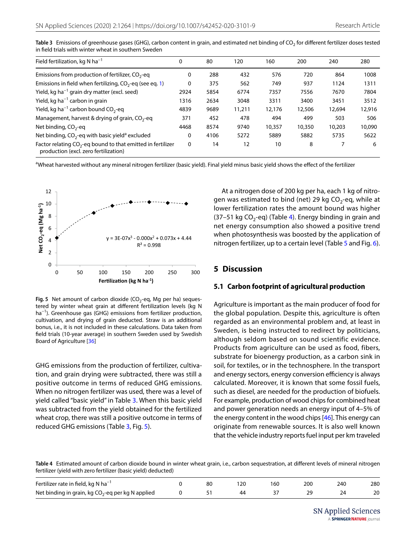| Field fertilization, kg N $ha^{-1}$                                                                     | 0        | 80   | 120    | 160    | 200    | 240    | 280    |
|---------------------------------------------------------------------------------------------------------|----------|------|--------|--------|--------|--------|--------|
| Emissions from production of fertilizer, $CO2$ -eq                                                      | 0        | 288  | 432    | 576    | 720    | 864    | 1008   |
| Emissions in field when fertilizing, $CO2$ -eq (see eq. 1)                                              | 0        | 375  | 562    | 749    | 937    | 1124   | 1311   |
| Yield, kg ha <sup><math>-1</math></sup> grain dry matter (excl. seed)                                   | 2924     | 5854 | 6774   | 7357   | 7556   | 7670   | 7804   |
| Yield, kg ha <sup><math>-1</math></sup> carbon in grain                                                 | 1316     | 2634 | 3048   | 3311   | 3400   | 3451   | 3512   |
| Yield, kg ha <sup>-1</sup> carbon bound $CO_2$ -eq                                                      | 4839     | 9689 | 11,211 | 12,176 | 12,506 | 12,694 | 12,916 |
| Management, harvest & drying of grain, $CO2$ -eq                                                        | 371      | 452  | 478    | 494    | 499    | 503    | 506    |
| Net binding, $CO2$ -eq                                                                                  | 4468     | 8574 | 9740   | 10,357 | 10,350 | 10,203 | 10,090 |
| Net binding, $CO_2$ -eq with basic yield <sup>a</sup> excluded                                          | 0        | 4106 | 5272   | 5889   | 5882   | 5735   | 5622   |
| Factor relating $CO_2$ -eq bound to that emitted in fertilizer<br>production (excl. zero fertilization) | $\Omega$ | 14   | 12     | 10     | 8      |        | 6      |

<span id="page-6-0"></span>Table 3 Emissions of greenhouse gases (GHG), carbon content in grain, and estimated net binding of CO<sub>2</sub> for different fertilizer doses tested in feld trials with winter wheat in southern Sweden

aWheat harvested without any mineral nitrogen fertilizer (basic yield). Final yield minus basic yield shows the effect of the fertilizer



<span id="page-6-1"></span>**Fig. 5** Net amount of carbon dioxide ( $CO<sub>2</sub>$ -eq, Mg per ha) sequestered by winter wheat grain at diferent fertilization levels (kg N ha<sup>-1</sup>). Greenhouse gas (GHG) emissions from fertilizer production, cultivation, and drying of grain deducted. Straw is an additional bonus, i.e., it is not included in these calculations. Data taken from feld trials (10-year average) in southern Sweden used by Swedish Board of Agriculture [\[36](#page-10-11)]

GHG emissions from the production of fertilizer, cultivation, and grain drying were subtracted, there was still a positive outcome in terms of reduced GHG emissions. When no nitrogen fertilizer was used, there was a level of yield called "basic yield" in Table [3.](#page-6-0) When this basic yield was subtracted from the yield obtained for the fertilized wheat crop, there was still a positive outcome in terms of reduced GHG emissions (Table [3,](#page-6-0) Fig. [5\)](#page-6-1).

At a nitrogen dose of 200 kg per ha, each 1 kg of nitrogen was estimated to bind (net) 29 kg  $CO<sub>2</sub>$ -eq, while at lower fertilization rates the amount bound was higher (37–51 kg CO<sub>2</sub>-eq) (Table [4](#page-6-2)). Energy binding in grain and net energy consumption also showed a positive trend when photosynthesis was boosted by the application of nitrogen fertilizer, up to a certain level (Table [5](#page-7-0) and Fig. [6](#page-7-1)).

#### **5 Discussion**

#### **5.1 Carbon footprint of agricultural production**

Agriculture is important as the main producer of food for the global population. Despite this, agriculture is often regarded as an environmental problem and, at least in Sweden, is being instructed to redirect by politicians, although seldom based on sound scientific evidence. Products from agriculture can be used as food, fibers, substrate for bioenergy production, as a carbon sink in soil, for textiles, or in the technosphere. In the transport and energy sectors, energy conversion efficiency is always calculated. Moreover, it is known that some fossil fuels, such as diesel, are needed for the production of biofuels. For example, production of wood chips for combined heat and power generation needs an energy input of 4–5% of the energy content in the wood chips [[46](#page-10-21)]. This energy can originate from renewable sources. It is also well known that the vehicle industry reports fuel input per km traveled

<span id="page-6-2"></span>**Table 4** Estimated amount of carbon dioxide bound in winter wheat grain, i.e., carbon sequestration, at diferent levels of mineral nitrogen fertilizer (yield with zero fertilizer (basic yield) deducted)

| Fertilizer rate in field, kg N $ha^{-1}$             | 80 |  | 200 | 240 | 280 |
|------------------------------------------------------|----|--|-----|-----|-----|
| Net binding in grain, kg $CO_2$ -eq per kg N applied |    |  |     |     | 20  |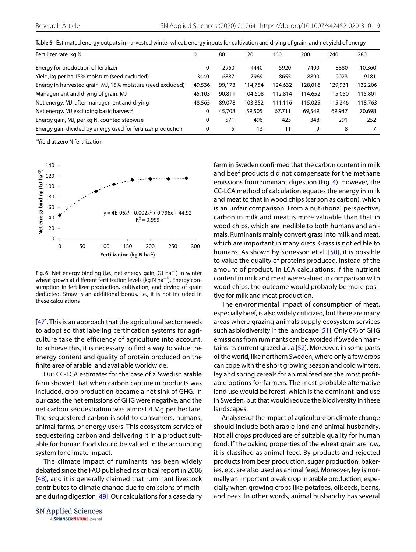<span id="page-7-0"></span>

|  |  |  | Table 5 Estimated energy outputs in harvested winter wheat, energy inputs for cultivation and drying of grain, and net yield of energy |
|--|--|--|----------------------------------------------------------------------------------------------------------------------------------------|
|--|--|--|----------------------------------------------------------------------------------------------------------------------------------------|

| Fertilizer rate, kg N                                        | 0      | 80     | 120     | 160     | 200     | 240     | 280     |
|--------------------------------------------------------------|--------|--------|---------|---------|---------|---------|---------|
| Energy for production of fertilizer                          | 0      | 2960   | 4440    | 5920    | 7400    | 8880    | 10,360  |
| Yield, kg per ha 15% moisture (seed excluded)                | 3440   | 6887   | 7969    | 8655    | 8890    | 9023    | 9181    |
| Energy in harvested grain, MJ, 15% moisture (seed excluded)  | 49,536 | 99,173 | 114,754 | 124,632 | 128,016 | 129,931 | 132,206 |
| Management and drying of grain, MJ                           | 45,103 | 90,811 | 104,608 | 112,814 | 114,652 | 115,050 | 115,801 |
| Net energy, MJ, after management and drying                  | 48,565 | 89,078 | 103,352 | 111,116 | 115,025 | 115,246 | 118,763 |
| Net energy, MJ excluding basic harvest <sup>a</sup>          | 0      | 45,708 | 59,505  | 67,711  | 69,549  | 69,947  | 70,698  |
| Energy gain, MJ, per kg N, counted stepwise                  | 0      | 571    | 496     | 423     | 348     | 291     | 252     |
| Energy gain divided by energy used for fertilizer production | 0      | 15     | 13      | 11      | 9       | 8       |         |

<sup>a</sup>Yield at zero N fertilization



<span id="page-7-1"></span>**Fig. 6** Net energy binding (i.e., net energy gain, GJ ha−1) in winter wheat grown at different fertilization levels (kg N ha<sup>-1</sup>). Energy consumption in fertilizer production, cultivation, and drying of grain deducted. Straw is an additional bonus, i.e., it is not included in these calculations

[[47](#page-10-22)]. This is an approach that the agricultural sector needs to adopt so that labeling certifcation systems for agriculture take the efficiency of agriculture into account. To achieve this, it is necessary to fnd a way to value the energy content and quality of protein produced on the fnite area of arable land available worldwide.

Our CC-LCA estimates for the case of a Swedish arable farm showed that when carbon capture in products was included, crop production became a net sink of GHG. In our case, the net emissions of GHG were negative, and the net carbon sequestration was almost 4 Mg per hectare. The sequestered carbon is sold to consumers, humans, animal farms, or energy users. This ecosystem service of sequestering carbon and delivering it in a product suitable for human food should be valued in the accounting system for climate impact.

The climate impact of ruminants has been widely debated since the FAO published its critical report in 2006 [[48\]](#page-10-23), and it is generally claimed that ruminant livestock contributes to climate change due to emissions of methane during digestion [[49](#page-10-24)]. Our calculations for a case dairy

**SN Applied Sciences** A SPRINGER NATURE journal farm in Sweden confrmed that the carbon content in milk and beef products did not compensate for the methane emissions from ruminant digestion (Fig. [4](#page-5-1)). However, the CC-LCA method of calculation equates the energy in milk and meat to that in wood chips (carbon as carbon), which is an unfair comparison. From a nutritional perspective, carbon in milk and meat is more valuable than that in wood chips, which are inedible to both humans and animals. Ruminants mainly convert grass into milk and meat, which are important in many diets. Grass is not edible to humans. As shown by Sonesson et al. [[50](#page-10-25)], it is possible to value the quality of proteins produced, instead of the amount of product, in LCA calculations. If the nutrient content in milk and meat were valued in comparison with wood chips, the outcome would probably be more positive for milk and meat production.

The environmental impact of consumption of meat, especially beef, is also widely criticized, but there are many areas where grazing animals supply ecosystem services such as biodiversity in the landscape [\[51](#page-10-26)]. Only 6% of GHG emissions from ruminants can be avoided if Sweden maintains its current grazed area [\[52\]](#page-10-27). Moreover, in some parts of the world, like northern Sweden, where only a few crops can cope with the short growing season and cold winters, ley and spring cereals for animal feed are the most proftable options for farmers. The most probable alternative land use would be forest, which is the dominant land use in Sweden, but that would reduce the biodiversity in these landscapes.

Analyses of the impact of agriculture on climate change should include both arable land and animal husbandry. Not all crops produced are of suitable quality for human food. If the baking properties of the wheat grain are low, it is classifed as animal feed. By-products and rejected products from beer production, sugar production, bakeries, etc. are also used as animal feed. Moreover, ley is normally an important break crop in arable production, especially when growing crops like potatoes, oilseeds, beans, and peas. In other words, animal husbandry has several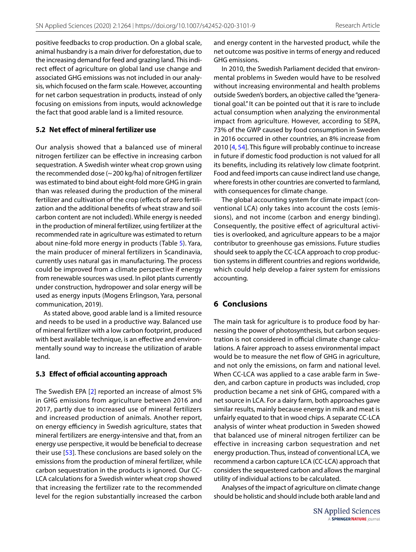positive feedbacks to crop production. On a global scale, animal husbandry is a main driver for deforestation, due to the increasing demand for feed and grazing land. This indirect effect of agriculture on global land use change and associated GHG emissions was not included in our analysis, which focused on the farm scale. However, accounting for net carbon sequestration in products, instead of only focusing on emissions from inputs, would acknowledge the fact that good arable land is a limited resource.

#### **5.2 Net efect of mineral fertilizer use**

Our analysis showed that a balanced use of mineral nitrogen fertilizer can be efective in increasing carbon sequestration. A Swedish winter wheat crop grown using the recommended dose (~200 kg/ha) of nitrogen fertilizer was estimated to bind about eight-fold more GHG in grain than was released during the production of the mineral fertilizer and cultivation of the crop (efects of zero fertilization and the additional benefts of wheat straw and soil carbon content are not included). While energy is needed in the production of mineral fertilizer, using fertilizer at the recommended rate in agriculture was estimated to return about nine-fold more energy in products (Table [5](#page-7-0)). Yara, the main producer of mineral fertilizers in Scandinavia, currently uses natural gas in manufacturing. The process could be improved from a climate perspective if energy from renewable sources was used. In pilot plants currently under construction, hydropower and solar energy will be used as energy inputs (Mogens Erlingson, Yara, personal communication, 2019).

As stated above, good arable land is a limited resource and needs to be used in a productive way. Balanced use of mineral fertilizer with a low carbon footprint, produced with best available technique, is an effective and environmentally sound way to increase the utilization of arable land.

## **5.3 Effect of official accounting approach**

The Swedish EPA [[2\]](#page-9-1) reported an increase of almost 5% in GHG emissions from agriculture between 2016 and 2017, partly due to increased use of mineral fertilizers and increased production of animals. Another report, on energy efficiency in Swedish agriculture, states that mineral fertilizers are energy-intensive and that, from an energy use perspective, it would be benefcial to decrease their use [\[53\]](#page-10-28). These conclusions are based solely on the emissions from the production of mineral fertilizer, while carbon sequestration in the products is ignored. Our CC-LCA calculations for a Swedish winter wheat crop showed that increasing the fertilizer rate to the recommended level for the region substantially increased the carbon and energy content in the harvested product, while the net outcome was positive in terms of energy and reduced GHG emissions.

In 2010, the Swedish Parliament decided that environmental problems in Sweden would have to be resolved without increasing environmental and health problems outside Sweden's borders, an objective called the "generational goal." It can be pointed out that it is rare to include actual consumption when analyzing the environmental impact from agriculture. However, according to SEPA, 73% of the GWP caused by food consumption in Sweden in 2016 occurred in other countries, an 8% increase from 2010 [[4,](#page-9-3) [54](#page-10-29)]. This figure will probably continue to increase in future if domestic food production is not valued for all its benefts, including its relatively low climate footprint. Food and feed imports can cause indirect land use change, where forests in other countries are converted to farmland, with consequences for climate change.

The global accounting system for climate impact (conventional LCA) only takes into account the costs (emissions), and not income (carbon and energy binding). Consequently, the positive efect of agricultural activities is overlooked, and agriculture appears to be a major contributor to greenhouse gas emissions. Future studies should seek to apply the CC-LCA approach to crop production systems in diferent countries and regions worldwide, which could help develop a fairer system for emissions accounting.

# **6 Conclusions**

The main task for agriculture is to produce food by harnessing the power of photosynthesis, but carbon sequestration is not considered in official climate change calculations. A fairer approach to assess environmental impact would be to measure the net flow of GHG in agriculture, and not only the emissions, on farm and national level. When CC-LCA was applied to a case arable farm in Sweden, and carbon capture in products was included, crop production became a net sink of GHG, compared with a net source in LCA. For a dairy farm, both approaches gave similar results, mainly because energy in milk and meat is unfairly equated to that in wood chips. A separate CC-LCA analysis of winter wheat production in Sweden showed that balanced use of mineral nitrogen fertilizer can be effective in increasing carbon sequestration and net energy production. Thus, instead of conventional LCA, we recommend a carbon capture LCA (CC-LCA) approach that considers the sequestered carbon and allows the marginal utility of individual actions to be calculated.

Analyses of the impact of agriculture on climate change should be holistic and should include both arable land and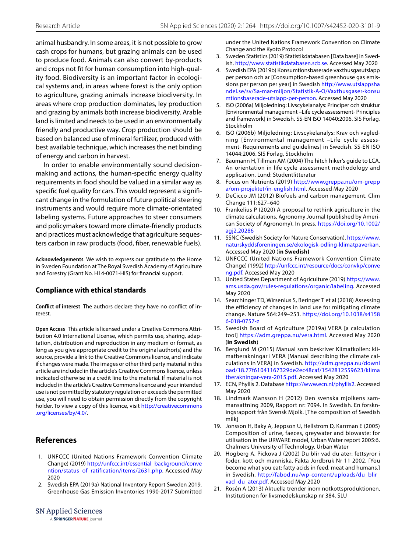animal husbandry. In some areas, it is not possible to grow cash crops for humans, but grazing animals can be used to produce food. Animals can also convert by-products and crops not ft for human consumption into high-quality food. Biodiversity is an important factor in ecological systems and, in areas where forest is the only option to agriculture, grazing animals increase biodiversity. In areas where crop production dominates, ley production and grazing by animals both increase biodiversity. Arable land is limited and needs to be used in an environmentally friendly and productive way. Crop production should be based on balanced use of mineral fertilizer, produced with best available technique, which increases the net binding of energy and carbon in harvest.

In order to enable environmentally sound decisionmaking and actions, the human-specifc energy quality requirements in food should be valued in a similar way as specifc fuel quality for cars. This would represent a signifcant change in the formulation of future political steering instruments and would require more climate-orientated labeling systems. Future approaches to steer consumers and policymakers toward more climate-friendly products and practices must acknowledge that agriculture sequesters carbon in raw products (food, fber, renewable fuels).

**Acknowledgements** We wish to express our gratitude to the Home in Sweden Foundation at The Royal Swedish Academy of Agriculture and Forestry (Grant No. H14-0071-HIS) for fnancial support.

#### **Compliance with ethical standards**

**Conflict of interest** The authors declare they have no confict of interest.

**Open Access** This article is licensed under a Creative Commons Attribution 4.0 International License, which permits use, sharing, adaptation, distribution and reproduction in any medium or format, as long as you give appropriate credit to the original author(s) and the source, provide a link to the Creative Commons licence, and indicate if changes were made. The images or other third party material in this article are included in the article's Creative Commons licence, unless indicated otherwise in a credit line to the material. If material is not included in the article's Creative Commons licence and your intended use is not permitted by statutory regulation or exceeds the permitted use, you will need to obtain permission directly from the copyright holder. To view a copy of this licence, visit [http://creativecommons](http://creativecommons.org/licenses/by/4.0/) [.org/licenses/by/4.0/](http://creativecommons.org/licenses/by/4.0/).

#### **References**

- <span id="page-9-0"></span>1. UNFCCC (United Nations Framework Convention Climate Change) (2019) [http://unfccc.int/essential\\_background/conve](http://unfccc.int/essential_background/convention/status_of_ratification/items/2631.php) [ntion/status\\_of\\_ratification/items/2631.php](http://unfccc.int/essential_background/convention/status_of_ratification/items/2631.php). Accessed May 2020
- <span id="page-9-1"></span>2. Swedish EPA (2019a) National Inventory Report Sweden 2019. Greenhouse Gas Emission Inventories 1990-2017 Submitted

**SN Applied Sciences** 

A SPRINGER NATURE journal

under the United Nations Framework Convention on Climate Change and the Kyoto Protocol

- <span id="page-9-2"></span>3. Sweden Statistics (2019) Statistikdatabasen [Data base] in Swedish. <http://www.statistikdatabasen.scb.se>. Accessed May 2020
- <span id="page-9-3"></span>4. Swedish EPA (2019b) Konsumtionsbaserade vaxthusgasutslapp per person och ar [Consumption-based greenhouse gas emissions per person per year] in Swedish [http://www.utslappsha](http://www.utslappshandel.se/sv/Sa-mar-miljon/Statistik-A-O/Vaxthusgaser-konsumtionsbaserade-utslapp-per-person) [ndel.se/sv/Sa-mar-miljon/Statistik-A-O/Vaxthusgaser-konsu](http://www.utslappshandel.se/sv/Sa-mar-miljon/Statistik-A-O/Vaxthusgaser-konsumtionsbaserade-utslapp-per-person) [mtionsbaserade-utslapp-per-person.](http://www.utslappshandel.se/sv/Sa-mar-miljon/Statistik-A-O/Vaxthusgaser-konsumtionsbaserade-utslapp-per-person) Accessed May 2020
- <span id="page-9-4"></span>5. ISO (2006a) Miljoledning: Livscykelanalys: Principer och struktur [Environmental management –Life cycle assessment- Principles and framework] in Swedish. SS-EN ISO 14040:2006. SIS Forlag, Stockholm
- <span id="page-9-5"></span>6. ISO (2006b) Miljoledning: Livscykelanalys: Krav och vagledning [Environmental management –Life cycle assessment- Requirements and guidelines] in Swedish. SS-EN ISO 14044:2006. SIS Forlag, Stockholm
- <span id="page-9-6"></span>7. Baumann H, Tillman AM (2004) The hitch hiker's guide to LCA. An orientation in life cycle assessment methodology and application. Lund: Studentlitteratur
- <span id="page-9-7"></span>8. Focus on Nutrients (2019) [http://www.greppa.nu/om-grepp](http://www.greppa.nu/om-greppa/om-projektet/in-english.html) [a/om-projektet/in-english.html.](http://www.greppa.nu/om-greppa/om-projektet/in-english.html) Accessed May 2020
- <span id="page-9-8"></span>9. DeCicco JM (2012) Biofuels and carbon management. Clim Change 111:627–640
- <span id="page-9-9"></span>10. Frankelius P (2020) A proposal to rethink agriculture in the climate calculations, Agronomy Journal (published by American Society of Agronomy). In press. [https://doi.org/10.1002/](https://doi.org/10.1002/agj2.20286) agi2.20286
- <span id="page-9-10"></span>11. SSNC (Swedish Society for Nature Conservation). [https://www.](https://www.naturskyddsforeningen.se/ekologisk-odling-klimatpaverkan) [naturskyddsforeningen.se/ekologisk-odling-klimatpaverkan](https://www.naturskyddsforeningen.se/ekologisk-odling-klimatpaverkan). Accessed May 2020 (**in Swedish)**
- <span id="page-9-11"></span>12. UNFCCC (United Nations Framework Convention Climate Change) (1992) [http://unfccc.int/resource/docs/convkp/conve](http://unfccc.int/resource/docs/convkp/conveng.pdf) [ng.pdf](http://unfccc.int/resource/docs/convkp/conveng.pdf). Accessed May 2020
- <span id="page-9-12"></span>13. United States Department of Agriculture (2019) [https://www.](https://www.ams.usda.gov/rules-regulations/organic/labeling) [ams.usda.gov/rules-regulations/organic/labeling.](https://www.ams.usda.gov/rules-regulations/organic/labeling) Accessed May 2020
- <span id="page-9-13"></span>14. Searchinger TD, Wirsenius S, Beringer T et al (2018) Assessing the efficiency of changes in land use for mitigating climate change. Nature 564:249–253. [https://doi.org/10.1038/s4158](https://doi.org/10.1038/s41586-018-0757-z) [6-018-0757-z](https://doi.org/10.1038/s41586-018-0757-z)
- <span id="page-9-14"></span>15. Swedish Board of Agriculture (2019a) VERA [a calculation tool] <https://adm.greppa.nu/vera.html>. Accessed May 2020 (**in Swedish**)
- <span id="page-9-15"></span>16. Berglund M (2015) Manual som beskriver Klimatkollen: klimatberakningar i VERA [Manual describing the climate calculations in VERA] in Swedish. [http://adm.greppa.nu/downl](http://adm.greppa.nu/download/18.77f61041167329de2ec48caf/1542812559623/klimatberakningar-vera-2015.pdf) [oad/18.77f61041167329de2ec48caf/1542812559623/klima](http://adm.greppa.nu/download/18.77f61041167329de2ec48caf/1542812559623/klimatberakningar-vera-2015.pdf) [tberakningar-vera-2015.pdf](http://adm.greppa.nu/download/18.77f61041167329de2ec48caf/1542812559623/klimatberakningar-vera-2015.pdf). Accessed May 2020
- <span id="page-9-16"></span>17. ECN, Phyllis 2. Database [https://www.ecn.nl/phyllis2.](https://www.ecn.nl/phyllis2) Accessed May 2020
- <span id="page-9-17"></span>18. Lindmark Mansson H (2012) Den svenska mjolkens sammansattning 2009, Rapport nr: 7094. In Swedish. En forskningsrapport från Svensk Mjolk. [The composition of Swedish milk]
- <span id="page-9-18"></span>19. Jonsson H, Baky A, Jeppson U, Hellstrom D, Karrman E (2005) Composition of urine, faeces, greywater and biowaste: for utilisation in the URWARE model, Urban Water report 2005:6. Chalmers University of Technology, Urban Water
- <span id="page-9-19"></span>20. Hogberg A, Pickova J (2002) Du blir vad du ater: fettsyror i foder, kott och manniska. Fakta Jordbruk Nr 11 2002. [You become what you eat: fatty acids in feed, meat and humans.] in Swedish. [http://fabod.nu/wp-content/uploads/du\\_blir\\_](http://fabod.nu/wp-content/uploads/du_blir_vad_du_ater.pdf) [vad\\_du\\_ater.pdf](http://fabod.nu/wp-content/uploads/du_blir_vad_du_ater.pdf). Accessed May 2020
- <span id="page-9-20"></span>21. Rosén A (2013) Aktuella trender inom notkottsproduktionen, Institutionen för livsmedelskunskap nr 384, SLU